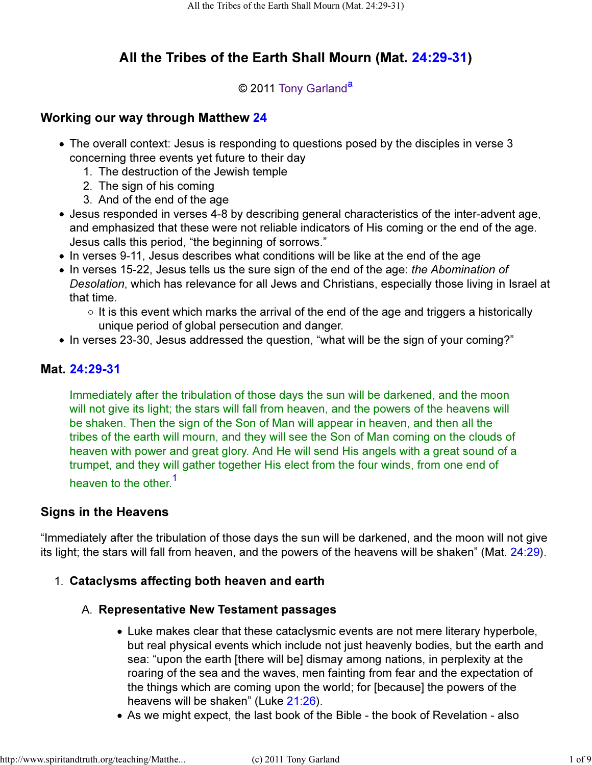# All the Tribes of the Earth Shall Mourn (Mat. 24:29-31)

### © 2011 Tony Garland<sup>a</sup>

# Working our way through Matthew 24

- The overall context: Jesus is responding to questions posed by the disciples in verse 3 concerning three events yet future to their day
	- 1. The destruction of the Jewish temple
	- 2. The sign of his coming
	- 3. And of the end of the age
- Jesus responded in verses 4-8 by describing general characteristics of the inter-advent age, and emphasized that these were not reliable indicators of His coming or the end of the age. Jesus calls this period, "the beginning of sorrows."
- In verses 9-11, Jesus describes what conditions will be like at the end of the age
- In verses 15-22, Jesus tells us the sure sign of the end of the age: the Abomination of Desolation, which has relevance for all Jews and Christians, especially those living in Israel at that time.
	- $\circ$  It is this event which marks the arrival of the end of the age and triggers a historically unique period of global persecution and danger.
- In verses 23-30, Jesus addressed the question, "what will be the sign of your coming?"

### Mat. 24:29-31

Immediately after the tribulation of those days the sun will be darkened, and the moon will not give its light; the stars will fall from heaven, and the powers of the heavens will be shaken. Then the sign of the Son of Man will appear in heaven, and then all the tribes of the earth will mourn, and they will see the Son of Man coming on the clouds of heaven with power and great glory. And He will send His angels with a great sound of a trumpet, and they will gather together His elect from the four winds, from one end of heaven to the other <sup>1</sup>

#### Signs in the Heavens

"Immediately after the tribulation of those days the sun will be darkened, and the moon will not give its light; the stars will fall from heaven, and the powers of the heavens will be shaken" (Mat. 24:29).

#### 1. Cataclysms affecting both heaven and earth

#### A. Representative New Testament passages

- Luke makes clear that these cataclysmic events are not mere literary hyperbole, but real physical events which include not just heavenly bodies, but the earth and sea: "upon the earth [there will be] dismay among nations, in perplexity at the roaring of the sea and the waves, men fainting from fear and the expectation of the things which are coming upon the world; for [because] the powers of the heavens will be shaken" (Luke 21:26).
- As we might expect, the last book of the Bible the book of Revelation also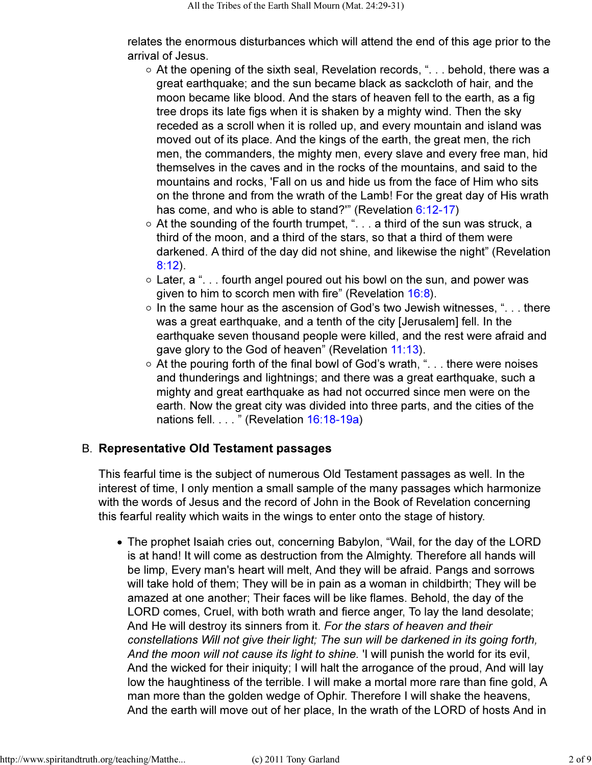relates the enormous disturbances which will attend the end of this age prior to the arrival of Jesus.

- $\circ$  At the opening of the sixth seal, Revelation records, "... behold, there was a great earthquake; and the sun became black as sackcloth of hair, and the moon became like blood. And the stars of heaven fell to the earth, as a fig tree drops its late figs when it is shaken by a mighty wind. Then the sky receded as a scroll when it is rolled up, and every mountain and island was moved out of its place. And the kings of the earth, the great men, the rich men, the commanders, the mighty men, every slave and every free man, hid themselves in the caves and in the rocks of the mountains, and said to the mountains and rocks, 'Fall on us and hide us from the face of Him who sits on the throne and from the wrath of the Lamb! For the great day of His wrath has come, and who is able to stand?" (Revelation 6:12-17)
- At the sounding of the fourth trumpet, ". . . a third of the sun was struck, a third of the moon, and a third of the stars, so that a third of them were darkened. A third of the day did not shine, and likewise the night" (Revelation 8:12).
- $\circ$  Later, a "... fourth angel poured out his bowl on the sun, and power was given to him to scorch men with fire" (Revelation 16:8).
- $\circ$  In the same hour as the ascension of God's two Jewish witnesses, "... there was a great earthquake, and a tenth of the city [Jerusalem] fell. In the earthquake seven thousand people were killed, and the rest were afraid and gave glory to the God of heaven" (Revelation 11:13).
- $\circ$  At the pouring forth of the final bowl of God's wrath, "... there were noises and thunderings and lightnings; and there was a great earthquake, such a mighty and great earthquake as had not occurred since men were on the earth. Now the great city was divided into three parts, and the cities of the nations fell. . . . " (Revelation 16:18-19a)

#### B. Representative Old Testament passages

This fearful time is the subject of numerous Old Testament passages as well. In the interest of time, I only mention a small sample of the many passages which harmonize with the words of Jesus and the record of John in the Book of Revelation concerning this fearful reality which waits in the wings to enter onto the stage of history.

The prophet Isaiah cries out, concerning Babylon, "Wail, for the day of the LORD is at hand! It will come as destruction from the Almighty. Therefore all hands will be limp, Every man's heart will melt, And they will be afraid. Pangs and sorrows will take hold of them; They will be in pain as a woman in childbirth; They will be amazed at one another; Their faces will be like flames. Behold, the day of the LORD comes, Cruel, with both wrath and fierce anger, To lay the land desolate; And He will destroy its sinners from it. For the stars of heaven and their constellations Will not give their light; The sun will be darkened in its going forth, And the moon will not cause its light to shine. 'I will punish the world for its evil, And the wicked for their iniquity; I will halt the arrogance of the proud, And will lay low the haughtiness of the terrible. I will make a mortal more rare than fine gold, A man more than the golden wedge of Ophir. Therefore I will shake the heavens, And the earth will move out of her place, In the wrath of the LORD of hosts And in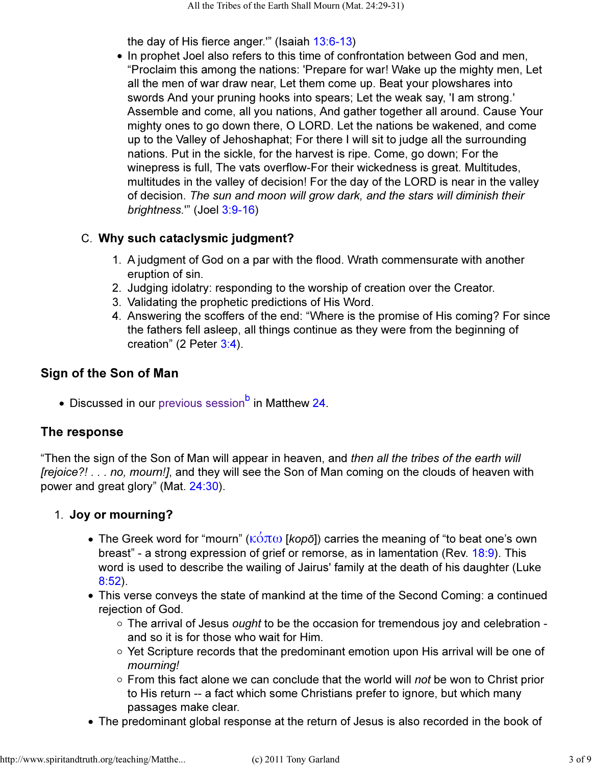the day of His fierce anger.'" (Isaiah 13:6-13)

• In prophet Joel also refers to this time of confrontation between God and men, "Proclaim this among the nations: 'Prepare for war! Wake up the mighty men, Let all the men of war draw near, Let them come up. Beat your plowshares into swords And your pruning hooks into spears; Let the weak say, 'I am strong.' Assemble and come, all you nations, And gather together all around. Cause Your mighty ones to go down there, O LORD. Let the nations be wakened, and come up to the Valley of Jehoshaphat; For there I will sit to judge all the surrounding nations. Put in the sickle, for the harvest is ripe. Come, go down; For the winepress is full, The vats overflow-For their wickedness is great. Multitudes, multitudes in the valley of decision! For the day of the LORD is near in the valley of decision. The sun and moon will grow dark, and the stars will diminish their brightness.'" (Joel 3:9-16)

#### Why such cataclysmic judgment? C.

- 1. A judgment of God on a par with the flood. Wrath commensurate with another eruption of sin.
- 2. Judging idolatry: responding to the worship of creation over the Creator.
- 3. Validating the prophetic predictions of His Word.
- Answering the scoffers of the end: "Where is the promise of His coming? For since 4. the fathers fell asleep, all things continue as they were from the beginning of creation" (2 Peter 3:4).

#### Sign of the Son of Man

Discussed in our previous session<sup>b</sup> in Matthew 24.

# The response

"Then the sign of the Son of Man will appear in heaven, and then all the tribes of the earth will [rejoice?! . . . no, mourn!], and they will see the Son of Man coming on the clouds of heaven with power and great glory" (Mat. 24:30).

#### 1. Joy or mourning?

- The Greek word for "mourn" ( $\kappa \acute{\text{o}} \pi \omega$  [*kopō*]) carries the meaning of "to beat one's own breast" - a strong expression of grief or remorse, as in lamentation (Rev. 18:9). This word is used to describe the wailing of Jairus' family at the death of his daughter (Luke 8:52).
- This verse conveys the state of mankind at the time of the Second Coming: a continued rejection of God.
	- o The arrival of Jesus ought to be the occasion for tremendous joy and celebration and so it is for those who wait for Him.
	- $\circ$  Yet Scripture records that the predominant emotion upon His arrival will be one of mourning!
	- $\circ$  From this fact alone we can conclude that the world will not be won to Christ prior to His return -- a fact which some Christians prefer to ignore, but which many passages make clear.
- The predominant global response at the return of Jesus is also recorded in the book of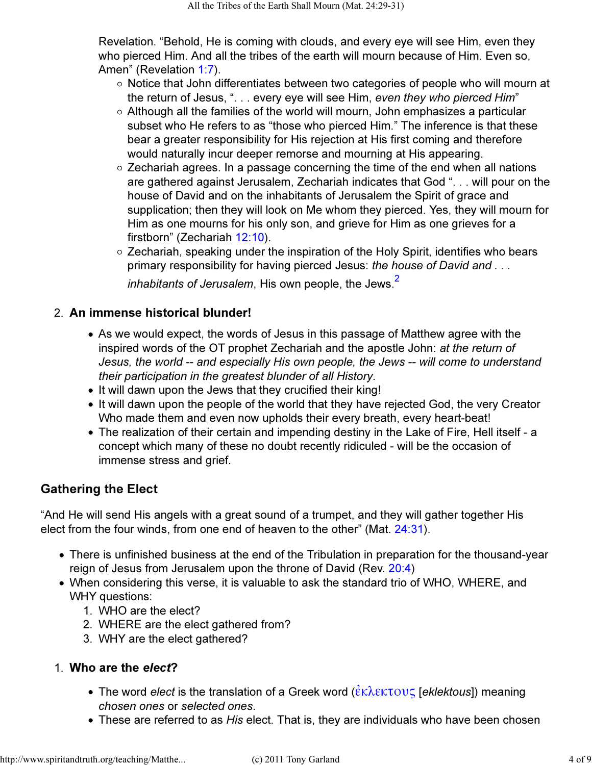Revelation. "Behold, He is coming with clouds, and every eye will see Him, even they who pierced Him. And all the tribes of the earth will mourn because of Him. Even so, Amen" (Revelation 1:7).

- $\circ$  Notice that John differentiates between two categories of people who will mourn at the return of Jesus, ". . . every eye will see Him, even they who pierced Him"
- $\circ$  Although all the families of the world will mourn, John emphasizes a particular subset who He refers to as "those who pierced Him." The inference is that these bear a greater responsibility for His rejection at His first coming and therefore would naturally incur deeper remorse and mourning at His appearing.
- Zechariah agrees. In a passage concerning the time of the end when all nations are gathered against Jerusalem, Zechariah indicates that God ". . . will pour on the house of David and on the inhabitants of Jerusalem the Spirit of grace and supplication; then they will look on Me whom they pierced. Yes, they will mourn for Him as one mourns for his only son, and grieve for Him as one grieves for a firstborn" (Zechariah 12:10).
- Zechariah, speaking under the inspiration of the Holy Spirit, identifies who bears primary responsibility for having pierced Jesus: the house of David and ...

inhabitants of Jerusalem, His own people, the Jews. $<sup>2</sup>$ </sup>

#### 2. An immense historical blunder!

- As we would expect, the words of Jesus in this passage of Matthew agree with the inspired words of the OT prophet Zechariah and the apostle John: at the return of Jesus, the world -- and especially His own people, the Jews -- will come to understand their participation in the greatest blunder of all History.
- It will dawn upon the Jews that they crucified their king!
- It will dawn upon the people of the world that they have rejected God, the very Creator Who made them and even now upholds their every breath, every heart-beat!
- The realization of their certain and impending destiny in the Lake of Fire, Hell itself a concept which many of these no doubt recently ridiculed - will be the occasion of immense stress and grief.

#### Gathering the Elect

"And He will send His angels with a great sound of a trumpet, and they will gather together His elect from the four winds, from one end of heaven to the other" (Mat. 24:31).

- There is unfinished business at the end of the Tribulation in preparation for the thousand-year reign of Jesus from Jerusalem upon the throne of David (Rev. 20:4)
- When considering this verse, it is valuable to ask the standard trio of WHO, WHERE, and WHY questions:
	- 1. WHO are the elect?
	- 2. WHERE are the elect gathered from?
	- 3. WHY are the elect gathered?

### 1. Who are the elect?

- The word elect is the translation of a Greek word  $(\hat{\varepsilon}\kappa\lambda \varepsilon \kappa \tau \sigma \nu \zeta$  [eklektous]) meaning chosen ones or selected ones.
- These are referred to as *His* elect. That is, they are individuals who have been chosen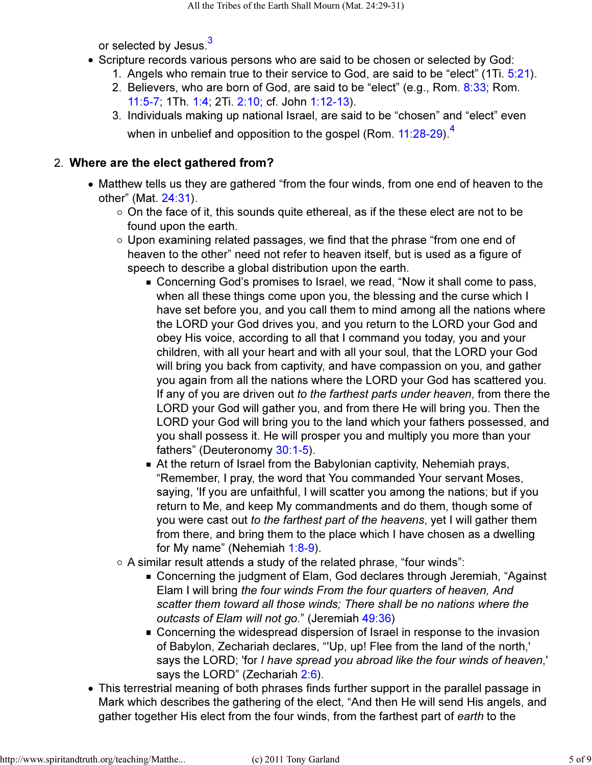or selected by Jesus.<sup>3</sup>

- Scripture records various persons who are said to be chosen or selected by God:
	- 1. Angels who remain true to their service to God, are said to be "elect" (1Ti. 5:21).
	- 2. Believers, who are born of God, are said to be "elect" (e.g., Rom. <mark>8:33</mark>; Rom. 11:5-7; 1Th. 1:4; 2Ti. 2:10; cf. John 1:12-13).
	- 3. Individuals making up national Israel, are said to be "chosen" and "elect" even when in unbelief and opposition to the gospel (Rom. 11:28-29)<sup>4</sup>

# Where are the elect gathered from? 2.

- Matthew tells us they are gathered "from the four winds, from one end of heaven to the other" (Mat. 24:31).
	- $\circ$  On the face of it, this sounds quite ethereal, as if the these elect are not to be found upon the earth.
	- $\circ$  Upon examining related passages, we find that the phrase "from one end of heaven to the other" need not refer to heaven itself, but is used as a figure of speech to describe a global distribution upon the earth.
		- Concerning God's promises to Israel, we read, "Now it shall come to pass, when all these things come upon you, the blessing and the curse which I have set before you, and you call them to mind among all the nations where the LORD your God drives you, and you return to the LORD your God and obey His voice, according to all that I command you today, you and your children, with all your heart and with all your soul, that the LORD your God will bring you back from captivity, and have compassion on you, and gather you again from all the nations where the LORD your God has scattered you. If any of you are driven out to the farthest parts under heaven, from there the LORD your God will gather you, and from there He will bring you. Then the LORD your God will bring you to the land which your fathers possessed, and you shall possess it. He will prosper you and multiply you more than your fathers" (Deuteronomy 30:1-5).
		- At the return of Israel from the Babylonian captivity, Nehemiah prays, "Remember, I pray, the word that You commanded Your servant Moses, saying, 'If you are unfaithful, I will scatter you among the nations; but if you return to Me, and keep My commandments and do them, though some of you were cast out to the farthest part of the heavens, yet I will gather them from there, and bring them to the place which I have chosen as a dwelling for My name" (Nehemiah 1:8-9).
	- $\circ$  A similar result attends a study of the related phrase, "four winds":
		- Concerning the judgment of Elam, God declares through Jeremiah, "Against Elam I will bring the four winds From the four quarters of heaven, And scatter them toward all those winds; There shall be no nations where the outcasts of Elam will not go." (Jeremiah 49:36)
		- Concerning the widespread dispersion of Israel in response to the invasion of Babylon, Zechariah declares, "'Up, up! Flee from the land of the north,' says the LORD; 'for I have spread you abroad like the four winds of heaven,' says the LORD" (Zechariah 2:6).
- This terrestrial meaning of both phrases finds further support in the parallel passage in Mark which describes the gathering of the elect, "And then He will send His angels, and gather together His elect from the four winds, from the farthest part of earth to the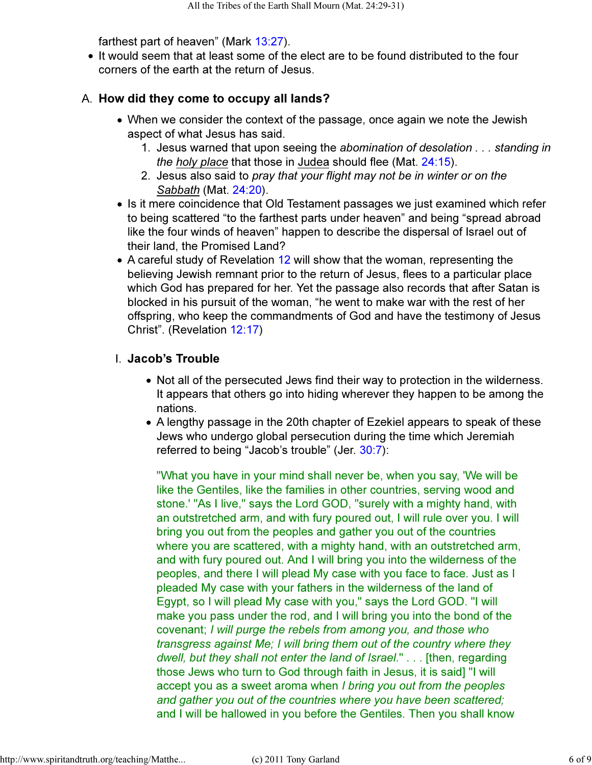farthest part of heaven" (Mark 13:27).

• It would seem that at least some of the elect are to be found distributed to the four corners of the earth at the return of Jesus.

#### A. How did they come to occupy all lands?

- When we consider the context of the passage, once again we note the Jewish aspect of what Jesus has said.
	- 1. Jesus warned that upon seeing the abomination of desolation . . . standing in the holy place that those in Judea should flee (Mat. 24:15).
	- 2. Jesus also said to *pray that your flight may not be in winter or on the* Sabbath (Mat. 24:20).
- Is it mere coincidence that Old Testament passages we just examined which refer to being scattered "to the farthest parts under heaven" and being "spread abroad like the four winds of heaven" happen to describe the dispersal of Israel out of their land, the Promised Land?
- A careful study of Revelation 12 will show that the woman, representing the believing Jewish remnant prior to the return of Jesus, flees to a particular place which God has prepared for her. Yet the passage also records that after Satan is blocked in his pursuit of the woman, "he went to make war with the rest of her offspring, who keep the commandments of God and have the testimony of Jesus Christ". (Revelation 12:17)

#### I. Jacob's Trouble

- Not all of the persecuted Jews find their way to protection in the wilderness. It appears that others go into hiding wherever they happen to be among the nations.
- A lengthy passage in the 20th chapter of Ezekiel appears to speak of these Jews who undergo global persecution during the time which Jeremiah referred to being "Jacob's trouble" (Jer. 30:7):

"What you have in your mind shall never be, when you say, 'We will be like the Gentiles, like the families in other countries, serving wood and stone.' "As I live," says the Lord GOD, "surely with a mighty hand, with an outstretched arm, and with fury poured out, I will rule over you. I will bring you out from the peoples and gather you out of the countries where you are scattered, with a mighty hand, with an outstretched arm, and with fury poured out. And I will bring you into the wilderness of the peoples, and there I will plead My case with you face to face. Just as I pleaded My case with your fathers in the wilderness of the land of Egypt, so I will plead My case with you," says the Lord GOD. "I will make you pass under the rod, and I will bring you into the bond of the covenant; I will purge the rebels from among you, and those who transgress against Me; I will bring them out of the country where they dwell, but they shall not enter the land of Israel." . . . [then, regarding those Jews who turn to God through faith in Jesus, it is said] "I will accept you as a sweet aroma when I bring you out from the peoples and gather you out of the countries where you have been scattered; and I will be hallowed in you before the Gentiles. Then you shall know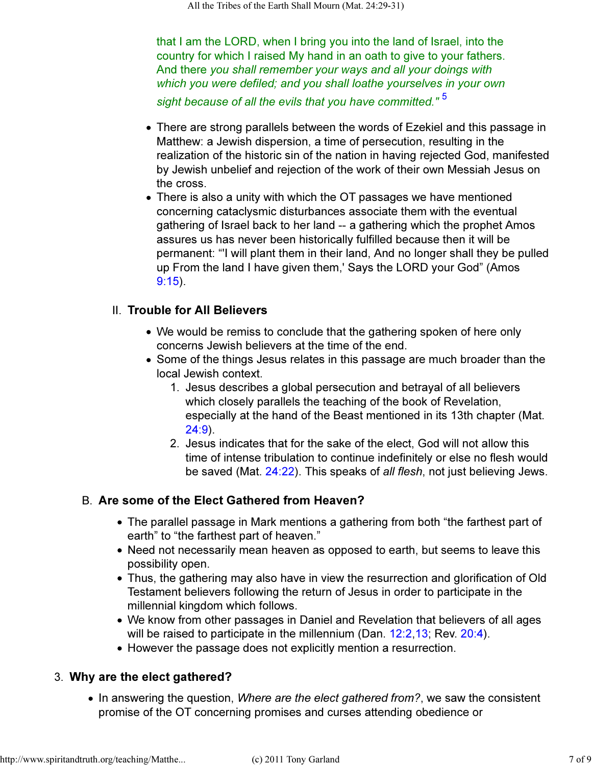that I am the LORD, when I bring you into the land of Israel, into the country for which I raised My hand in an oath to give to your fathers. And there you shall remember your ways and all your doings with which you were defiled; and you shall loathe yourselves in your own sight because of all the evils that you have committed."<sup>5</sup>

- There are strong parallels between the words of Ezekiel and this passage in Matthew: a Jewish dispersion, a time of persecution, resulting in the realization of the historic sin of the nation in having rejected God, manifested by Jewish unbelief and rejection of the work of their own Messiah Jesus on the cross.
- There is also a unity with which the OT passages we have mentioned concerning cataclysmic disturbances associate them with the eventual gathering of Israel back to her land -- a gathering which the prophet Amos assures us has never been historically fulfilled because then it will be permanent: "'I will plant them in their land, And no longer shall they be pulled up From the land I have given them,' Says the LORD your God" (Amos 9:15).

#### II. Trouble for All Believers

- We would be remiss to conclude that the gathering spoken of here only concerns Jewish believers at the time of the end.
- Some of the things Jesus relates in this passage are much broader than the local Jewish context.
	- 1. Jesus describes a global persecution and betrayal of all believers which closely parallels the teaching of the book of Revelation, especially at the hand of the Beast mentioned in its 13th chapter (Mat. 24:9).
	- 2. Jesus indicates that for the sake of the elect, God will not allow this time of intense tribulation to continue indefinitely or else no flesh would be saved (Mat. 24:22). This speaks of all flesh, not just believing Jews.

# B. Are some of the Elect Gathered from Heaven?

- The parallel passage in Mark mentions a gathering from both "the farthest part of earth" to "the farthest part of heaven."
- Need not necessarily mean heaven as opposed to earth, but seems to leave this possibility open.
- Thus, the gathering may also have in view the resurrection and glorification of Old Testament believers following the return of Jesus in order to participate in the millennial kingdom which follows.
- We know from other passages in Daniel and Revelation that believers of all ages will be raised to participate in the millennium (Dan. 12:2,13; Rev. 20:4).
- However the passage does not explicitly mention a resurrection.

# Why are the elect gathered? 3.

• In answering the question, Where are the elect gathered from?, we saw the consistent promise of the OT concerning promises and curses attending obedience or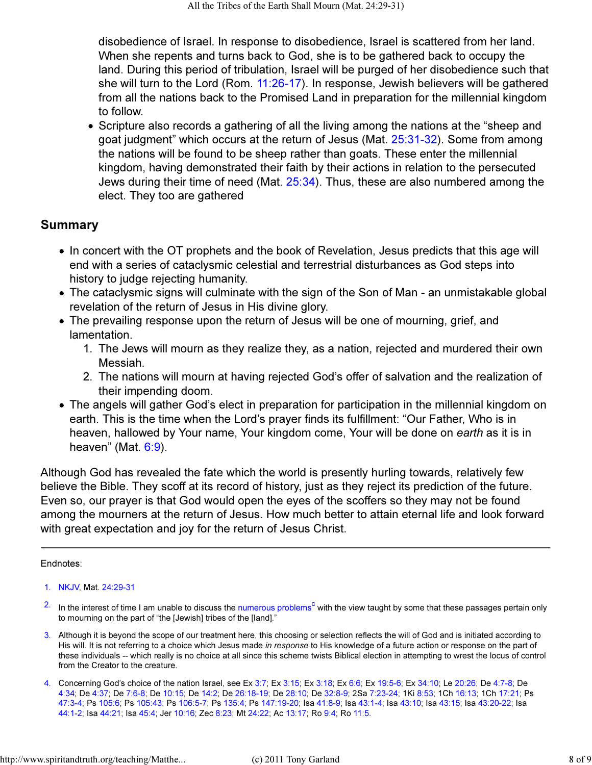disobedience of Israel. In response to disobedience, Israel is scattered from her land. When she repents and turns back to God, she is to be gathered back to occupy the land. During this period of tribulation, Israel will be purged of her disobedience such that she will turn to the Lord (Rom. 11:26-17). In response, Jewish believers will be gathered from all the nations back to the Promised Land in preparation for the millennial kingdom to follow.

• Scripture also records a gathering of all the living among the nations at the "sheep and goat judgment" which occurs at the return of Jesus (Mat. 25:31-32). Some from among the nations will be found to be sheep rather than goats. These enter the millennial kingdom, having demonstrated their faith by their actions in relation to the persecuted Jews during their time of need (Mat. 25:34). Thus, these are also numbered among the elect. They too are gathered

#### Summary

- In concert with the OT prophets and the book of Revelation, Jesus predicts that this age will end with a series of cataclysmic celestial and terrestrial disturbances as God steps into history to judge rejecting humanity.
- The cataclysmic signs will culminate with the sign of the Son of Man an unmistakable global revelation of the return of Jesus in His divine glory.
- The prevailing response upon the return of Jesus will be one of mourning, grief, and lamentation.
	- The Jews will mourn as they realize they, as a nation, rejected and murdered their own 1. Messiah.
	- The nations will mourn at having rejected God's offer of salvation and the realization of 2. their impending doom.
- The angels will gather God's elect in preparation for participation in the millennial kingdom on earth. This is the time when the Lord's prayer finds its fulfillment: "Our Father, Who is in heaven, hallowed by Your name, Your kingdom come, Your will be done on earth as it is in heaven" (Mat.  $6:9$ ).

Although God has revealed the fate which the world is presently hurling towards, relatively few believe the Bible. They scoff at its record of history, just as they reject its prediction of the future. Even so, our prayer is that God would open the eyes of the scoffers so they may not be found among the mourners at the return of Jesus. How much better to attain eternal life and look forward with great expectation and joy for the return of Jesus Christ.

#### Endnotes:

- $2<sup>2</sup>$  In the interest of time I am unable to discuss the numerous problems<sup>c</sup> with the view taught by some that these passages pertain only to mourning on the part of "the [Jewish] tribes of the [land]."
- 3. Although it is beyond the scope of our treatment here, this choosing or selection reflects the will of God and is initiated according to His will. It is not referring to a choice which Jesus made in response to His knowledge of a future action or response on the part of these individuals -- which really is no choice at all since this scheme twists Biblical election in attempting to wrest the locus of control from the Creator to the creature.
- 4. Concerning God's choice of the nation Israel, see Ex 3:7; Ex 3:15; Ex 3:18; Ex 6:6; Ex 19:5-6; Ex 34:10; Le 20:26; De 4:7-8; De 4:34; De 4:37; De 7:6-8; De 10:15; De 14:2; De 26:18-19; De 28:10; De 32:8-9; 2Sa 7:23-24; 1Ki 8:53; 1Ch 16:13; 1Ch 17:21; Ps 47:3-4; Ps 105:6; Ps 105:43; Ps 106:5-7; Ps 135:4; Ps 147:19-20; Isa 41:8-9; Isa 43:1-4; Isa 43:10; Isa 43:15; Isa 43:20-22; Isa 44:1-2; Isa 44:21; Isa 45:4; Jer 10:16; Zec 8:23; Mt 24:22; Ac 13:17; Ro 9:4; Ro 11:5.

<sup>1.</sup> NKJV, Mat. 24:29-31